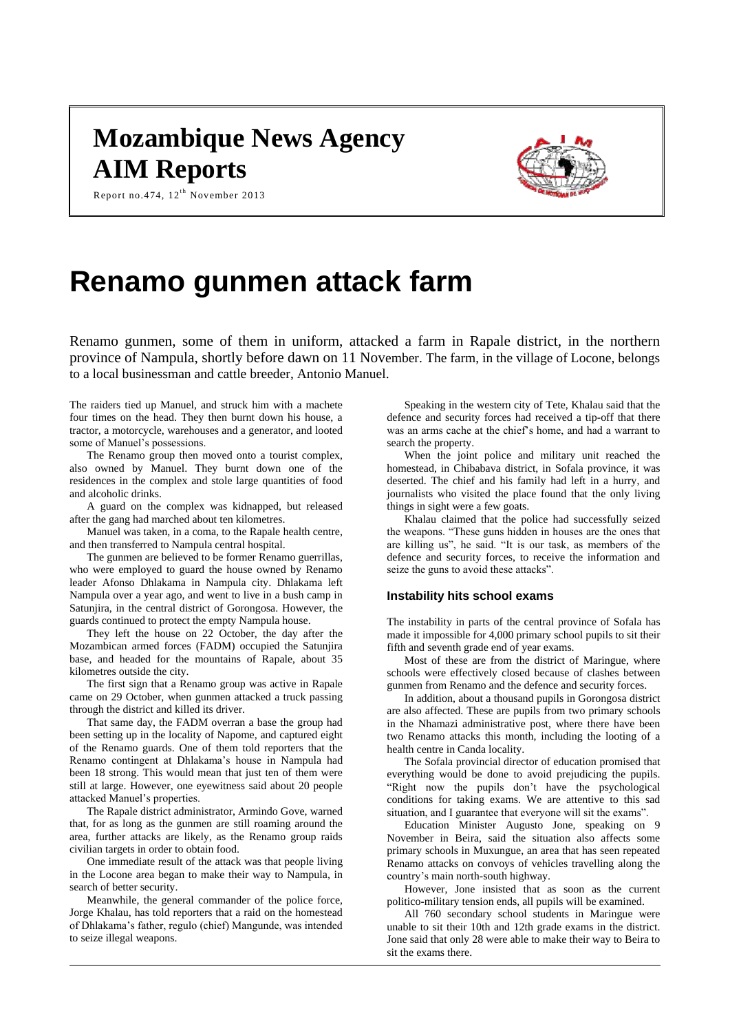## **Mozambique News Agency AIM Reports**



Report no. 474,  $12^{th}$  November 2013

# **Renamo gunmen attack farm**

Renamo gunmen, some of them in uniform, attacked a farm in Rapale district, in the northern province of Nampula, shortly before dawn on 11 November. The farm, in the village of Locone, belongs to a local businessman and cattle breeder, Antonio Manuel.

The raiders tied up Manuel, and struck him with a machete four times on the head. They then burnt down his house, a tractor, a motorcycle, warehouses and a generator, and looted some of Manuel's possessions.

The Renamo group then moved onto a tourist complex, also owned by Manuel. They burnt down one of the residences in the complex and stole large quantities of food and alcoholic drinks.

A guard on the complex was kidnapped, but released after the gang had marched about ten kilometres.

Manuel was taken, in a coma, to the Rapale health centre, and then transferred to Nampula central hospital.

The gunmen are believed to be former Renamo guerrillas, who were employed to guard the house owned by Renamo leader Afonso Dhlakama in Nampula city. Dhlakama left Nampula over a year ago, and went to live in a bush camp in Satunjira, in the central district of Gorongosa. However, the guards continued to protect the empty Nampula house.

They left the house on 22 October, the day after the Mozambican armed forces (FADM) occupied the Satunjira base, and headed for the mountains of Rapale, about 35 kilometres outside the city.

The first sign that a Renamo group was active in Rapale came on 29 October, when gunmen attacked a truck passing through the district and killed its driver.

That same day, the FADM overran a base the group had been setting up in the locality of Napome, and captured eight of the Renamo guards. One of them told reporters that the Renamo contingent at Dhlakama's house in Nampula had been 18 strong. This would mean that just ten of them were still at large. However, one eyewitness said about 20 people attacked Manuel's properties.

The Rapale district administrator, Armindo Gove, warned that, for as long as the gunmen are still roaming around the area, further attacks are likely, as the Renamo group raids civilian targets in order to obtain food.

One immediate result of the attack was that people living in the Locone area began to make their way to Nampula, in search of better security.

Meanwhile, the general commander of the police force, Jorge Khalau, has told reporters that a raid on the homestead of Dhlakama's father, regulo (chief) Mangunde, was intended to seize illegal weapons.

Speaking in the western city of Tete, Khalau said that the defence and security forces had received a tip-off that there was an arms cache at the chief's home, and had a warrant to search the property.

When the joint police and military unit reached the homestead, in Chibabava district, in Sofala province, it was deserted. The chief and his family had left in a hurry, and journalists who visited the place found that the only living things in sight were a few goats.

Khalau claimed that the police had successfully seized the weapons. "These guns hidden in houses are the ones that are killing us", he said. "It is our task, as members of the defence and security forces, to receive the information and seize the guns to avoid these attacks".

## **Instability hits school exams**

The instability in parts of the central province of Sofala has made it impossible for 4,000 primary school pupils to sit their fifth and seventh grade end of year exams.

Most of these are from the district of Maringue, where schools were effectively closed because of clashes between gunmen from Renamo and the defence and security forces.

In addition, about a thousand pupils in Gorongosa district are also affected. These are pupils from two primary schools in the Nhamazi administrative post, where there have been two Renamo attacks this month, including the looting of a health centre in Canda locality.

The Sofala provincial director of education promised that everything would be done to avoid prejudicing the pupils. "Right now the pupils don't have the psychological conditions for taking exams. We are attentive to this sad situation, and I guarantee that everyone will sit the exams".

Education Minister Augusto Jone, speaking on 9 November in Beira, said the situation also affects some primary schools in Muxungue, an area that has seen repeated Renamo attacks on convoys of vehicles travelling along the country's main north-south highway.

However, Jone insisted that as soon as the current politico-military tension ends, all pupils will be examined.

All 760 secondary school students in Maringue were unable to sit their 10th and 12th grade exams in the district. Jone said that only 28 were able to make their way to Beira to sit the exams there.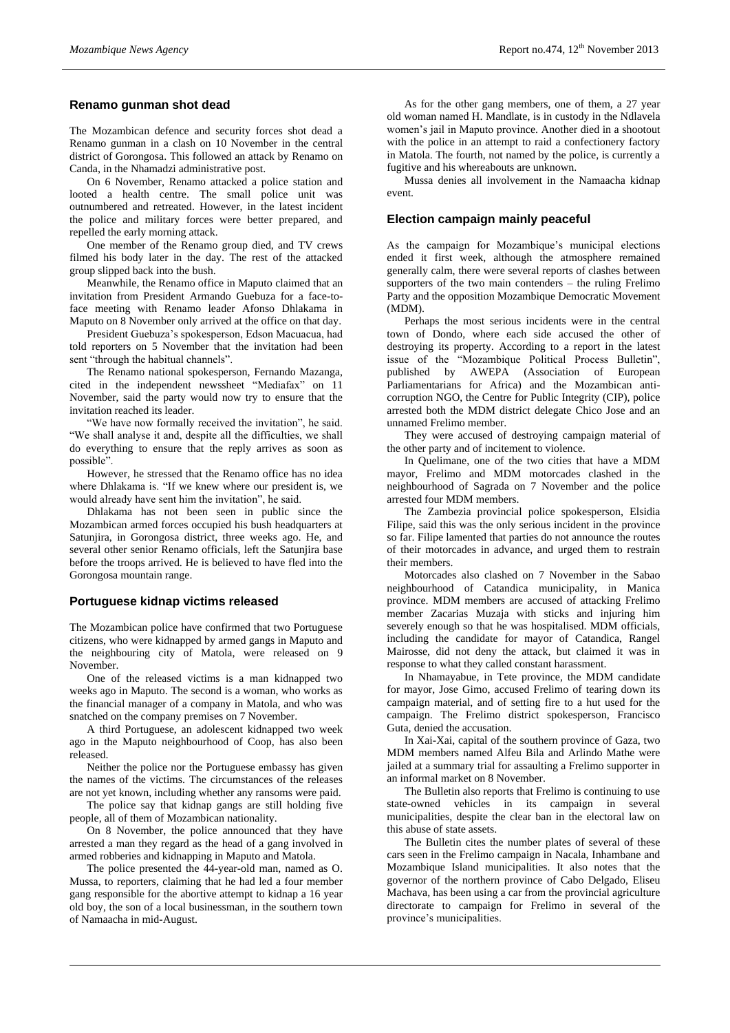## **Renamo gunman shot dead**

The Mozambican defence and security forces shot dead a Renamo gunman in a clash on 10 November in the central district of Gorongosa. This followed an attack by Renamo on Canda, in the Nhamadzi administrative post.

On 6 November, Renamo attacked a police station and looted a health centre. The small police unit was outnumbered and retreated. However, in the latest incident the police and military forces were better prepared, and repelled the early morning attack.

One member of the Renamo group died, and TV crews filmed his body later in the day. The rest of the attacked group slipped back into the bush.

Meanwhile, the Renamo office in Maputo claimed that an invitation from President Armando Guebuza for a face-toface meeting with Renamo leader Afonso Dhlakama in Maputo on 8 November only arrived at the office on that day.

President Guebuza's spokesperson, Edson Macuacua, had told reporters on 5 November that the invitation had been sent "through the habitual channels".

The Renamo national spokesperson, Fernando Mazanga, cited in the independent newssheet "Mediafax" on 11 November, said the party would now try to ensure that the invitation reached its leader.

"We have now formally received the invitation", he said. "We shall analyse it and, despite all the difficulties, we shall do everything to ensure that the reply arrives as soon as possible".

However, he stressed that the Renamo office has no idea where Dhlakama is. "If we knew where our president is, we would already have sent him the invitation", he said.

Dhlakama has not been seen in public since the Mozambican armed forces occupied his bush headquarters at Satunjira, in Gorongosa district, three weeks ago. He, and several other senior Renamo officials, left the Satunjira base before the troops arrived. He is believed to have fled into the Gorongosa mountain range.

#### **Portuguese kidnap victims released**

The Mozambican police have confirmed that two Portuguese citizens, who were kidnapped by armed gangs in Maputo and the neighbouring city of Matola, were released on 9 November.

One of the released victims is a man kidnapped two weeks ago in Maputo. The second is a woman, who works as the financial manager of a company in Matola, and who was snatched on the company premises on 7 November.

A third Portuguese, an adolescent kidnapped two week ago in the Maputo neighbourhood of Coop, has also been released.

Neither the police nor the Portuguese embassy has given the names of the victims. The circumstances of the releases are not yet known, including whether any ransoms were paid.

The police say that kidnap gangs are still holding five people, all of them of Mozambican nationality.

On 8 November, the police announced that they have arrested a man they regard as the head of a gang involved in armed robberies and kidnapping in Maputo and Matola.

The police presented the 44-year-old man, named as O. Mussa, to reporters, claiming that he had led a four member gang responsible for the abortive attempt to kidnap a 16 year old boy, the son of a local businessman, in the southern town of Namaacha in mid-August.

As for the other gang members, one of them, a 27 year old woman named H. Mandlate, is in custody in the Ndlavela women's jail in Maputo province. Another died in a shootout with the police in an attempt to raid a confectionery factory in Matola. The fourth, not named by the police, is currently a fugitive and his whereabouts are unknown.

Mussa denies all involvement in the Namaacha kidnap event.

#### **Election campaign mainly peaceful**

As the campaign for Mozambique's municipal elections ended it first week, although the atmosphere remained generally calm, there were several reports of clashes between supporters of the two main contenders – the ruling Frelimo Party and the opposition Mozambique Democratic Movement (MDM).

Perhaps the most serious incidents were in the central town of Dondo, where each side accused the other of destroying its property. According to a report in the latest issue of the "Mozambique Political Process Bulletin", published by AWEPA (Association of European Parliamentarians for Africa) and the Mozambican anticorruption NGO, the Centre for Public Integrity (CIP), police arrested both the MDM district delegate Chico Jose and an unnamed Frelimo member.

They were accused of destroying campaign material of the other party and of incitement to violence.

In Quelimane, one of the two cities that have a MDM mayor, Frelimo and MDM motorcades clashed in the neighbourhood of Sagrada on 7 November and the police arrested four MDM members.

The Zambezia provincial police spokesperson, Elsidia Filipe, said this was the only serious incident in the province so far. Filipe lamented that parties do not announce the routes of their motorcades in advance, and urged them to restrain their members.

Motorcades also clashed on 7 November in the Sabao neighbourhood of Catandica municipality, in Manica province. MDM members are accused of attacking Frelimo member Zacarias Muzaja with sticks and injuring him severely enough so that he was hospitalised. MDM officials, including the candidate for mayor of Catandica, Rangel Mairosse, did not deny the attack, but claimed it was in response to what they called constant harassment.

In Nhamayabue, in Tete province, the MDM candidate for mayor, Jose Gimo, accused Frelimo of tearing down its campaign material, and of setting fire to a hut used for the campaign. The Frelimo district spokesperson, Francisco Guta, denied the accusation.

In Xai-Xai, capital of the southern province of Gaza, two MDM members named Alfeu Bila and Arlindo Mathe were jailed at a summary trial for assaulting a Frelimo supporter in an informal market on 8 November.

The Bulletin also reports that Frelimo is continuing to use state-owned vehicles in its campaign in several municipalities, despite the clear ban in the electoral law on this abuse of state assets.

The Bulletin cites the number plates of several of these cars seen in the Frelimo campaign in Nacala, Inhambane and Mozambique Island municipalities. It also notes that the governor of the northern province of Cabo Delgado, Eliseu Machava, has been using a car from the provincial agriculture directorate to campaign for Frelimo in several of the province's municipalities.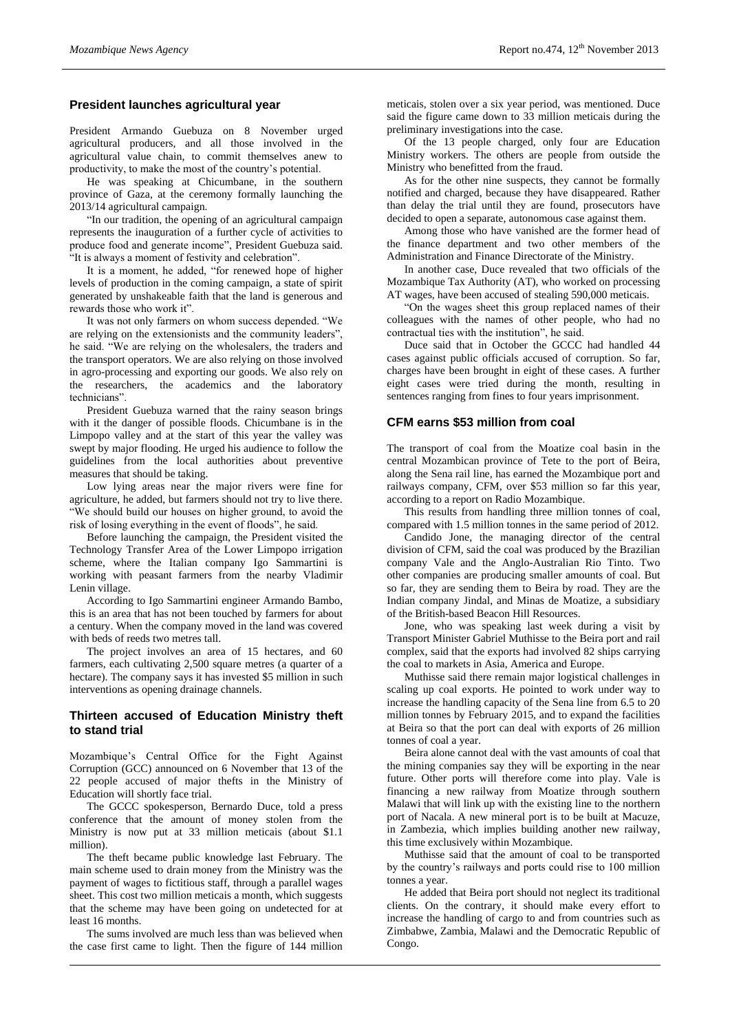## **President launches agricultural year**

President Armando Guebuza on 8 November urged agricultural producers, and all those involved in the agricultural value chain, to commit themselves anew to productivity, to make the most of the country's potential.

He was speaking at Chicumbane, in the southern province of Gaza, at the ceremony formally launching the 2013/14 agricultural campaign.

"In our tradition, the opening of an agricultural campaign represents the inauguration of a further cycle of activities to produce food and generate income", President Guebuza said. "It is always a moment of festivity and celebration".

It is a moment, he added, "for renewed hope of higher levels of production in the coming campaign, a state of spirit generated by unshakeable faith that the land is generous and rewards those who work it".

It was not only farmers on whom success depended. "We are relying on the extensionists and the community leaders", he said. "We are relying on the wholesalers, the traders and the transport operators. We are also relying on those involved in agro-processing and exporting our goods. We also rely on the researchers, the academics and the laboratory technicians".

President Guebuza warned that the rainy season brings with it the danger of possible floods. Chicumbane is in the Limpopo valley and at the start of this year the valley was swept by major flooding. He urged his audience to follow the guidelines from the local authorities about preventive measures that should be taking.

Low lying areas near the major rivers were fine for agriculture, he added, but farmers should not try to live there. "We should build our houses on higher ground, to avoid the risk of losing everything in the event of floods", he said.

Before launching the campaign, the President visited the Technology Transfer Area of the Lower Limpopo irrigation scheme, where the Italian company Igo Sammartini is working with peasant farmers from the nearby Vladimir Lenin village.

According to Igo Sammartini engineer Armando Bambo, this is an area that has not been touched by farmers for about a century. When the company moved in the land was covered with beds of reeds two metres tall.

The project involves an area of 15 hectares, and 60 farmers, each cultivating 2,500 square metres (a quarter of a hectare). The company says it has invested \$5 million in such interventions as opening drainage channels.

## **Thirteen accused of Education Ministry theft to stand trial**

Mozambique's Central Office for the Fight Against Corruption (GCC) announced on 6 November that 13 of the 22 people accused of major thefts in the Ministry of Education will shortly face trial.

The GCCC spokesperson, Bernardo Duce, told a press conference that the amount of money stolen from the Ministry is now put at 33 million meticais (about \$1.1 million).

The theft became public knowledge last February. The main scheme used to drain money from the Ministry was the payment of wages to fictitious staff, through a parallel wages sheet. This cost two million meticais a month, which suggests that the scheme may have been going on undetected for at least 16 months.

The sums involved are much less than was believed when the case first came to light. Then the figure of 144 million

meticais, stolen over a six year period, was mentioned. Duce said the figure came down to 33 million meticais during the preliminary investigations into the case.

Of the 13 people charged, only four are Education Ministry workers. The others are people from outside the Ministry who benefitted from the fraud.

As for the other nine suspects, they cannot be formally notified and charged, because they have disappeared. Rather than delay the trial until they are found, prosecutors have decided to open a separate, autonomous case against them.

Among those who have vanished are the former head of the finance department and two other members of the Administration and Finance Directorate of the Ministry.

In another case, Duce revealed that two officials of the Mozambique Tax Authority (AT), who worked on processing AT wages, have been accused of stealing 590,000 meticais.

"On the wages sheet this group replaced names of their colleagues with the names of other people, who had no contractual ties with the institution", he said.

Duce said that in October the GCCC had handled 44 cases against public officials accused of corruption. So far, charges have been brought in eight of these cases. A further eight cases were tried during the month, resulting in sentences ranging from fines to four years imprisonment.

## **CFM earns \$53 million from coal**

The transport of coal from the Moatize coal basin in the central Mozambican province of Tete to the port of Beira, along the Sena rail line, has earned the Mozambique port and railways company, CFM, over \$53 million so far this year, according to a report on Radio Mozambique.

This results from handling three million tonnes of coal, compared with 1.5 million tonnes in the same period of 2012.

Candido Jone, the managing director of the central division of CFM, said the coal was produced by the Brazilian company Vale and the Anglo-Australian Rio Tinto. Two other companies are producing smaller amounts of coal. But so far, they are sending them to Beira by road. They are the Indian company Jindal, and Minas de Moatize, a subsidiary of the British-based Beacon Hill Resources.

Jone, who was speaking last week during a visit by Transport Minister Gabriel Muthisse to the Beira port and rail complex, said that the exports had involved 82 ships carrying the coal to markets in Asia, America and Europe.

Muthisse said there remain major logistical challenges in scaling up coal exports. He pointed to work under way to increase the handling capacity of the Sena line from 6.5 to 20 million tonnes by February 2015, and to expand the facilities at Beira so that the port can deal with exports of 26 million tonnes of coal a year.

Beira alone cannot deal with the vast amounts of coal that the mining companies say they will be exporting in the near future. Other ports will therefore come into play. Vale is financing a new railway from Moatize through southern Malawi that will link up with the existing line to the northern port of Nacala. A new mineral port is to be built at Macuze, in Zambezia, which implies building another new railway, this time exclusively within Mozambique.

Muthisse said that the amount of coal to be transported by the country's railways and ports could rise to 100 million tonnes a year.

He added that Beira port should not neglect its traditional clients. On the contrary, it should make every effort to increase the handling of cargo to and from countries such as Zimbabwe, Zambia, Malawi and the Democratic Republic of Congo.